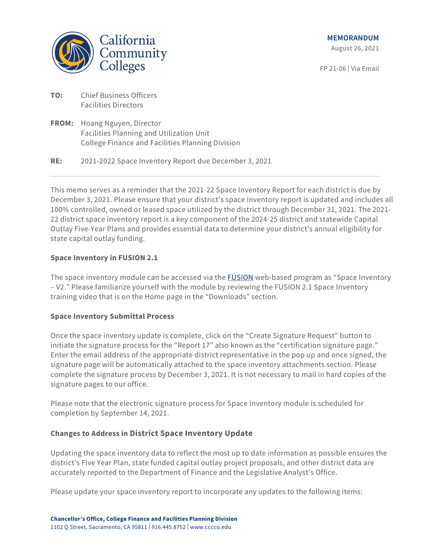

FP 21-06 | Via Email

- **TO:** Chief Business Officers Facilities Directors
- **FROM:** Hoang Nguyen, Director Facilities Planning and Utilization Unit College Finance and Facilities Planning Division

**RE:** 2021-2022 Space Inventory Report due December 3, 2021

This memo serves as a reminder that the 2021-22 Space Inventory Report for each district is due by December 3, 2021. Please ensure that your district's space inventory report is updated and includes all 100% controlled, owned or leased space utilized by the district through December 31, 2021. The 2021- 22 district space inventory report is a key component of the 2024-25 district and statewide Capital Outlay Five-Year Plans and provides essential data to determine your district's annual eligibility for state capital outlay funding.

## **Space Inventory in FUSION 2.1**

The space inventory module can be accessed via the [FUSION](http://fusion.deltacollege.edu/default.asp?ReturnUrl=%2f) web-based program as "Space Inventory – V2." Please familiarize yourself with the module by reviewing the FUSION 2.1 Space Inventory training video that is on the Home page in the "Downloads" section.

### **Space Inventory Submittal Process**

Once the space inventory update is complete, click on the "Create Signature Request" button to initiate the signature process for the "Report 17" also known as the "certification signature page." Enter the email address of the appropriate district representative in the pop up and once signed, the signature page will be automatically attached to the space inventory attachments section. Please complete the signature process by December 3, 2021. It is not necessary to mail in hard copies of the signature pages to our office.

Please note that the electronic signature process for Space Inventory module is scheduled for completion by September 14, 2021.

# **Changes to Address in District Space Inventory Update**

Updating the space inventory data to reflect the most up to date information as possible ensures the district's Five Year Plan, state funded capital outlay project proposals, and other district data are accurately reported to the Department of Finance and the Legislative Analyst's Office.

Please update your space inventory report to incorporate any updates to the following items: